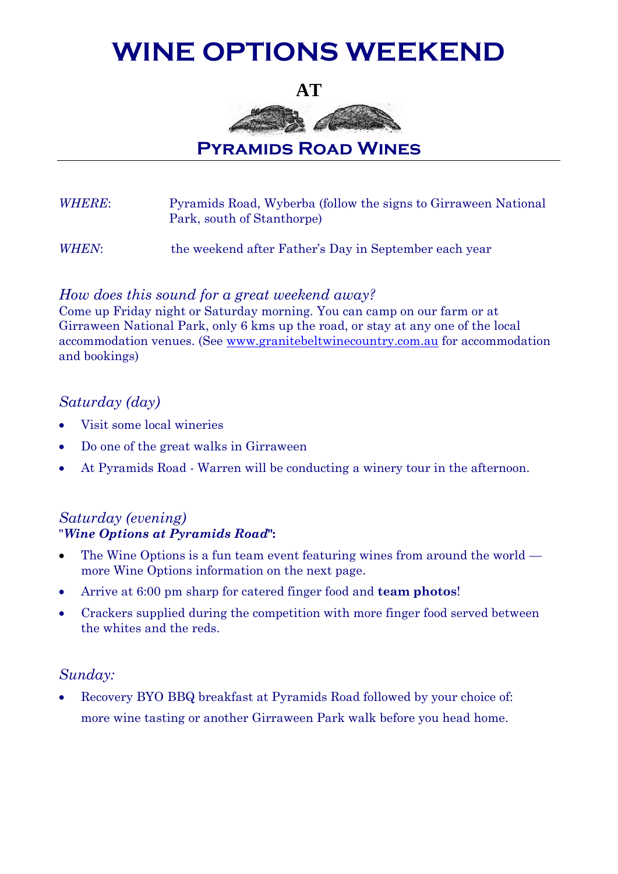# **WINE OPTIONS WEEKEND**

**AT**



**Pyramids Road Wines**

*WHERE*: Pyramids Road, Wyberba (follow the signs to Girraween National Park, south of Stanthorpe)

*WHEN*: the weekend after Father's Day in September each year

# *How does this sound for a great weekend away?*

Come up Friday night or Saturday morning. You can camp on our farm or at Girraween National Park, only 6 kms up the road, or stay at any one of the local accommodation venues. (See [www.granitebeltwinecountry.com.au](http://www.granitebeltwinecountry.com.au/) for accommodation and bookings)

# *Saturday (day)*

- Visit some local wineries
- Do one of the great walks in Girraween
- At Pyramids Road Warren will be conducting a winery tour in the afternoon.

### *Saturday (evening)* "*Wine Options at Pyramids Road***":**

- The Wine Options is a fun team event featuring wines from around the world more Wine Options information on the next page.
- Arrive at 6:00 pm sharp for catered finger food and **team photos**!
- Crackers supplied during the competition with more finger food served between the whites and the reds.

# *Sunday:*

 Recovery BYO BBQ breakfast at Pyramids Road followed by your choice of: more wine tasting or another Girraween Park walk before you head home.